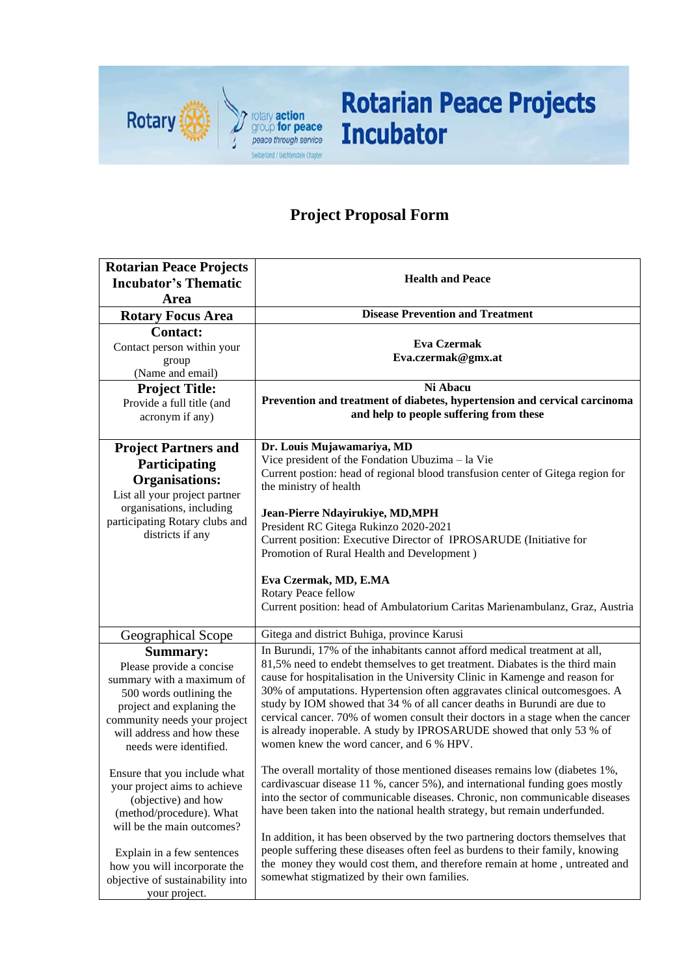

## **Rotarian Peace Projects Incubator**

## **Project Proposal Form**

| <b>Rotarian Peace Projects</b>                                                                                                                                                                                                                                   | <b>Health and Peace</b>                                                                                                                                                                                                                                                                                                                                                                                                                                                                                                                                                                                                      |
|------------------------------------------------------------------------------------------------------------------------------------------------------------------------------------------------------------------------------------------------------------------|------------------------------------------------------------------------------------------------------------------------------------------------------------------------------------------------------------------------------------------------------------------------------------------------------------------------------------------------------------------------------------------------------------------------------------------------------------------------------------------------------------------------------------------------------------------------------------------------------------------------------|
| <b>Incubator's Thematic</b><br>Area                                                                                                                                                                                                                              |                                                                                                                                                                                                                                                                                                                                                                                                                                                                                                                                                                                                                              |
| <b>Rotary Focus Area</b>                                                                                                                                                                                                                                         | <b>Disease Prevention and Treatment</b>                                                                                                                                                                                                                                                                                                                                                                                                                                                                                                                                                                                      |
| <b>Contact:</b><br>Contact person within your<br>group<br>(Name and email)                                                                                                                                                                                       | <b>Eva Czermak</b><br>Eva.czermak@gmx.at                                                                                                                                                                                                                                                                                                                                                                                                                                                                                                                                                                                     |
| <b>Project Title:</b><br>Provide a full title (and<br>acronym if any)                                                                                                                                                                                            | Ni Abacu<br>Prevention and treatment of diabetes, hypertension and cervical carcinoma<br>and help to people suffering from these                                                                                                                                                                                                                                                                                                                                                                                                                                                                                             |
| <b>Project Partners and</b><br>Participating<br><b>Organisations:</b><br>List all your project partner<br>organisations, including<br>participating Rotary clubs and<br>districts if any                                                                         | Dr. Louis Mujawamariya, MD<br>Vice president of the Fondation Ubuzima - la Vie<br>Current postion: head of regional blood transfusion center of Gitega region for<br>the ministry of health<br>Jean-Pierre Ndayirukiye, MD,MPH                                                                                                                                                                                                                                                                                                                                                                                               |
|                                                                                                                                                                                                                                                                  | President RC Gitega Rukinzo 2020-2021<br>Current position: Executive Director of IPROSARUDE (Initiative for<br>Promotion of Rural Health and Development)<br>Eva Czermak, MD, E.MA<br>Rotary Peace fellow<br>Current position: head of Ambulatorium Caritas Marienambulanz, Graz, Austria                                                                                                                                                                                                                                                                                                                                    |
| Geographical Scope                                                                                                                                                                                                                                               | Gitega and district Buhiga, province Karusi                                                                                                                                                                                                                                                                                                                                                                                                                                                                                                                                                                                  |
| <b>Summary:</b><br>Please provide a concise<br>summary with a maximum of<br>500 words outlining the<br>project and explaning the<br>community needs your project<br>will address and how these<br>needs were identified.                                         | In Burundi, 17% of the inhabitants cannot afford medical treatment at all,<br>81,5% need to endebt themselves to get treatment. Diabates is the third main<br>cause for hospitalisation in the University Clinic in Kamenge and reason for<br>30% of amputations. Hypertension often aggravates clinical outcomesgoes. A<br>study by IOM showed that 34 % of all cancer deaths in Burundi are due to<br>cervical cancer. 70% of women consult their doctors in a stage when the cancer<br>is already inoperable. A study by IPROSARUDE showed that only 53 % of<br>women knew the word cancer, and 6 % HPV.                  |
| Ensure that you include what<br>your project aims to achieve<br>(objective) and how<br>(method/procedure). What<br>will be the main outcomes?<br>Explain in a few sentences<br>how you will incorporate the<br>objective of sustainability into<br>your project. | The overall mortality of those mentioned diseases remains low (diabetes 1%,<br>cardivascuar disease 11 %, cancer 5%), and international funding goes mostly<br>into the sector of communicable diseases. Chronic, non communicable diseases<br>have been taken into the national health strategy, but remain underfunded.<br>In addition, it has been observed by the two partnering doctors themselves that<br>people suffering these diseases often feel as burdens to their family, knowing<br>the money they would cost them, and therefore remain at home, untreated and<br>somewhat stigmatized by their own families. |